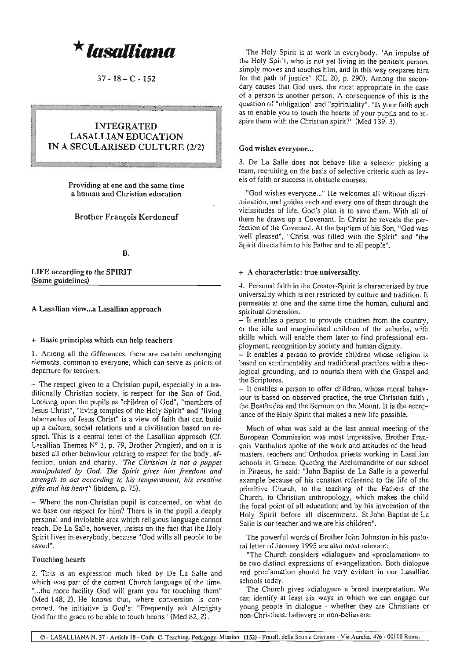$^{\star}$ lasalliana

 $37 - 18 - C - 152$ 

# INTEGRATED LASALLIAN EDUCATION IN A SECULARISED CULTURE (2/2)

**Providing at one and the same time a human and Christian education**

# Brother François Kerdoncuf

### B.

LIFE according to the SPIRIT (Some guidelines)

# A Lasallian view...a Lasallian approach

# + Basic principles which can help teachers

I. Among all the differences, there are certain unchanging **elements, common to everyone, which can serve as points of departure for teachers.**

- The respect given to a Christian pupil, especially in a traditionally Christian society, is respect for the Son of God. Looking upon the pupils as "children of God", "members of **Jesus Christll , "living temples of the Holy Spirit" and Uliving** tabernacles of Jesus Christ" is a view of faith that can build **up a culture, social relations and a civilisation based on re**spect. This is a central tenet of the Lasallian approach (Cf. Lasallian Themes N° I, p. 79, Brother Pungier), and on it is based all other behaviour relating to respect for the body, af**fection, union and charity.** *"The Chn"stian is /Jot a puppet manipulated by God. The Spirit gives him freedom and strength to act according* **<sup>10</sup>** *his temperament, his creative gifts alld his heart"* (ibidem, p. 75).

- Where the non-Christian pupil is concerned, on what do we base our respect for him? There is in the pupil a deeply personal and inviolable area which religious language cannot reach. De La Salle, however, insists on the fact that the Holy Spirit lives in everybody, because "God wills all people to be **saved".**

# **Touching hearts**

2. This is an expression much liked by De La Salle and which was part of the current Church language of the time. "...the more facility God will grant you for touching them" (Med 148,2). He knows that, where conversion is concerned, the initiative is God's: "Frequently ask Almighty God for the grace to be able to touch hearts" (Med 82, 2).

The Holy Spirit is at work in everybody. "An impulse of **the Holy Spirit, who is not yet living in the penitent person, simply moves and touches him, and in this way prepares him** for the path of justice" (CL 20, p. 290). Among the secon**dary causes that God uses, the most appropriate in the case of a person is another person. A consequence of this is the question of "obligationl1 and "spiritualityll. "Is your faith such** as to enable you to touch the hearts of your pupils and to inspire them with the Christian spirit?" (Med 139, 3).

## **God wishes everyone...**

3. De La Salle does not behave like a selector picking a **team, recruiting on the basis of selective criteria such as levels of faith or success in obstacle courses.**

**"God wishes everyone.. ." He welcomes all without discrimination, and guides each and everyone of them through the** vicissitudes of life. God's plan is to save them. With all of tbem be draws up a Covenant. In Christ he reveals the perfection of the Covenant. At the baptism of his Son, "God was well pleased", "Christ was filled with the Spirit" and "the Spirit directs him to his Father and to all people".

# + **A characteristic: true universality.**

4. Personal faith in the Creator-Spirit is characterised by true **universality which is not restricted by culture and tradition. It permeates at one and the same time the human, cultural and spiritual dimension.**

 $-$  It enables a person to provide children from the country, or the idle and marginalised children of the suburbs, with skills which will enable them later to find professional employment, recognition by society and human dignity.

- **It enables a person to provide children whose religion is based on sentimentality and traditional practices with a lheo**logical grounding, and to nourish them with the Gospel and **(he Scriptures.**

- It enables a person to offer children, wbose moral behav**iour is based on observed practice, the true Chrislian faith.** the Beatitudes and the Sermon on the Mount. It is the acceptance of the Holy Spirit that makes a new life possible.

**Much of whal was said al the last annual meeting of the European Commission was most impressive. Brother Fran**çois Varthalitis spoke of the work and attitudes of the head**masters, teachers and Orthodox priests working in Lasallian** schools in Greece. Quoting the Archimandrite of our school in Piraeus, he said: "John Baptist de La Salle is a powerful example because of his constant reference to the life of tbe primitive Church, to the teaching of the Fathers of the Church, to Christian anthropology, which makes the child the focal point of all education; and by his invocation of the Holy Spirit before all discernment. St John Baptist de La **Salle is our teacher and we are his children".**

The powerful words of Brother John Johnston in his pastoral letter of January 1995 are also most relevant:

**"The Church considers «dialogue» and «proclamation» to be two distinct expressions of evangelization. Both dialogue and proclamation should be very evident in our Lasallian** schools today.

**The Church gives «dialogue» a broad interpretation. We can identify at least six ways in which we can engage our** young people in dialogue - whether they are Christians or **non-Christians, believers or non-believers:**